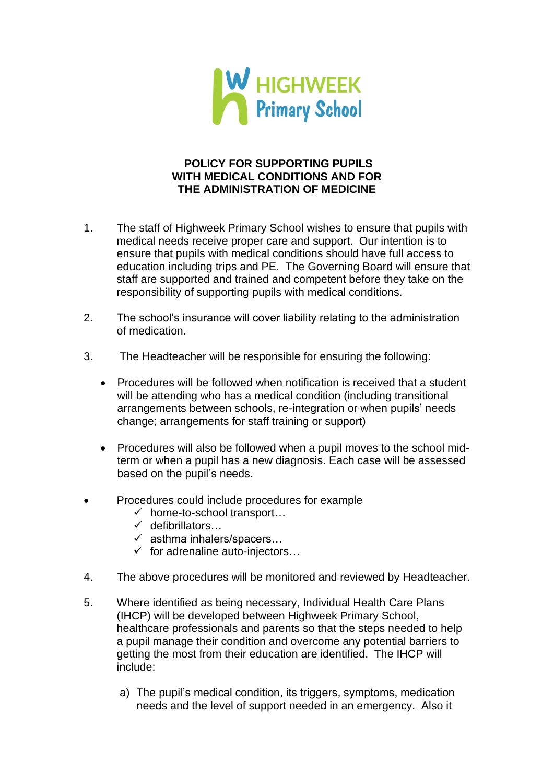

## **POLICY FOR SUPPORTING PUPILS WITH MEDICAL CONDITIONS AND FOR THE ADMINISTRATION OF MEDICINE**

- 1. The staff of Highweek Primary School wishes to ensure that pupils with medical needs receive proper care and support. Our intention is to ensure that pupils with medical conditions should have full access to education including trips and PE. The Governing Board will ensure that staff are supported and trained and competent before they take on the responsibility of supporting pupils with medical conditions.
- 2. The school's insurance will cover liability relating to the administration of medication.
- 3. The Headteacher will be responsible for ensuring the following:
	- Procedures will be followed when notification is received that a student will be attending who has a medical condition (including transitional arrangements between schools, re-integration or when pupils' needs change; arrangements for staff training or support)
	- Procedures will also be followed when a pupil moves to the school midterm or when a pupil has a new diagnosis. Each case will be assessed based on the pupil's needs.
- Procedures could include procedures for example
	- $\checkmark$  home-to-school transport...
	- ✓ defibrillators…
	- $\checkmark$  asthma inhalers/spacers...
	- $\checkmark$  for adrenaline auto-injectors...
- 4. The above procedures will be monitored and reviewed by Headteacher.
- 5. Where identified as being necessary, Individual Health Care Plans (IHCP) will be developed between Highweek Primary School, healthcare professionals and parents so that the steps needed to help a pupil manage their condition and overcome any potential barriers to getting the most from their education are identified. The IHCP will include:
	- a) The pupil's medical condition, its triggers, symptoms, medication needs and the level of support needed in an emergency. Also it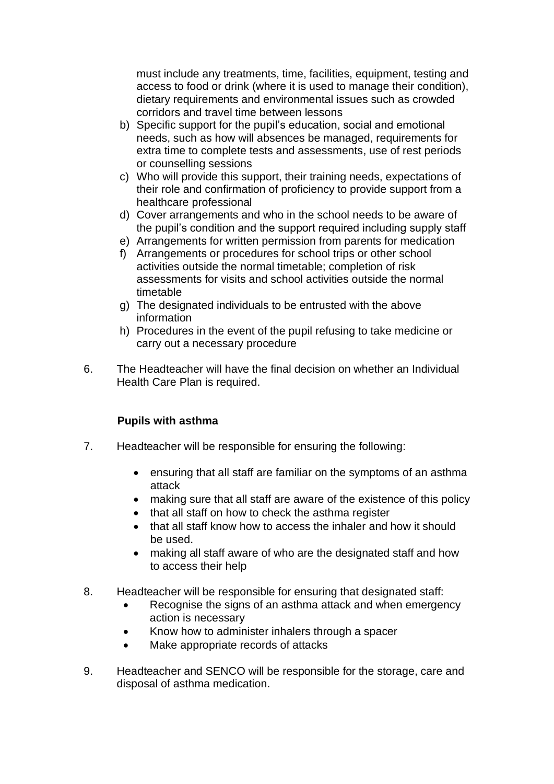must include any treatments, time, facilities, equipment, testing and access to food or drink (where it is used to manage their condition), dietary requirements and environmental issues such as crowded corridors and travel time between lessons

- b) Specific support for the pupil's education, social and emotional needs, such as how will absences be managed, requirements for extra time to complete tests and assessments, use of rest periods or counselling sessions
- c) Who will provide this support, their training needs, expectations of their role and confirmation of proficiency to provide support from a healthcare professional
- d) Cover arrangements and who in the school needs to be aware of the pupil's condition and the support required including supply staff
- e) Arrangements for written permission from parents for medication
- f) Arrangements or procedures for school trips or other school activities outside the normal timetable; completion of risk assessments for visits and school activities outside the normal timetable
- g) The designated individuals to be entrusted with the above information
- h) Procedures in the event of the pupil refusing to take medicine or carry out a necessary procedure
- 6. The Headteacher will have the final decision on whether an Individual Health Care Plan is required.

## **Pupils with asthma**

- 7. Headteacher will be responsible for ensuring the following:
	- ensuring that all staff are familiar on the symptoms of an asthma attack
	- making sure that all staff are aware of the existence of this policy
	- that all staff on how to check the asthma register
	- that all staff know how to access the inhaler and how it should be used.
	- making all staff aware of who are the designated staff and how to access their help
- 8. Headteacher will be responsible for ensuring that designated staff:
	- Recognise the signs of an asthma attack and when emergency action is necessary
	- Know how to administer inhalers through a spacer
	- Make appropriate records of attacks
- 9. Headteacher and SENCO will be responsible for the storage, care and disposal of asthma medication.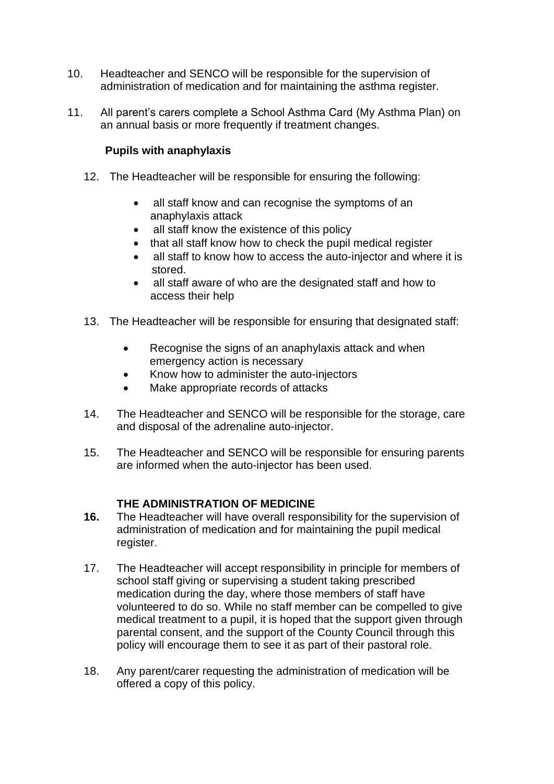- 10. Headteacher and SENCO will be responsible for the supervision of administration of medication and for maintaining the asthma register.
- 11. All parent's carers complete a School Asthma Card (My Asthma Plan) on an annual basis or more frequently if treatment changes.

## **Pupils with anaphylaxis**

- 12. The Headteacher will be responsible for ensuring the following:
	- all staff know and can recognise the symptoms of an anaphylaxis attack
	- all staff know the existence of this policy
	- that all staff know how to check the pupil medical register
	- all staff to know how to access the auto-injector and where it is stored.
	- all staff aware of who are the designated staff and how to access their help
- 13. The Headteacher will be responsible for ensuring that designated staff:
	- Recognise the signs of an anaphylaxis attack and when emergency action is necessary
	- Know how to administer the auto-injectors
	- Make appropriate records of attacks
- 14. The Headteacher and SENCO will be responsible for the storage, care and disposal of the adrenaline auto-injector.
- 15. The Headteacher and SENCO will be responsible for ensuring parents are informed when the auto-injector has been used.

## **THE ADMINISTRATION OF MEDICINE**

- **16.** The Headteacher will have overall responsibility for the supervision of administration of medication and for maintaining the pupil medical register.
- 17. The Headteacher will accept responsibility in principle for members of school staff giving or supervising a student taking prescribed medication during the day, where those members of staff have volunteered to do so. While no staff member can be compelled to give medical treatment to a pupil, it is hoped that the support given through parental consent, and the support of the County Council through this policy will encourage them to see it as part of their pastoral role.
- 18. Any parent/carer requesting the administration of medication will be offered a copy of this policy.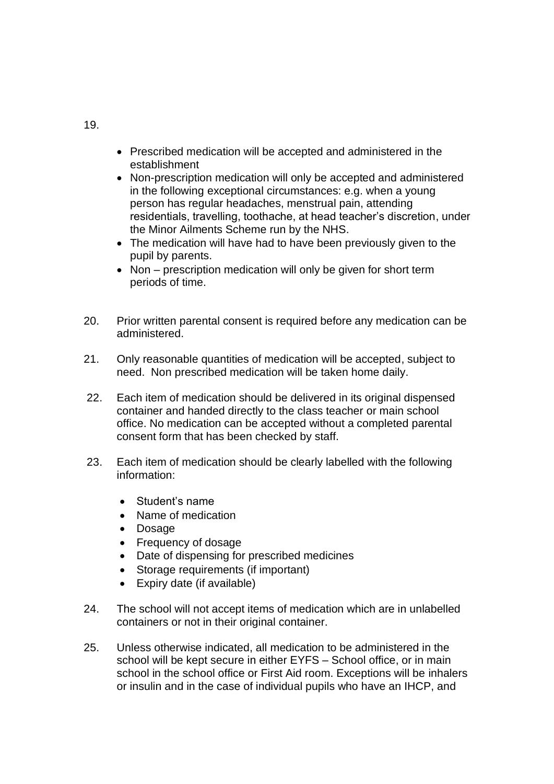- Prescribed medication will be accepted and administered in the establishment
- Non-prescription medication will only be accepted and administered in the following exceptional circumstances: e.g. when a young person has regular headaches, menstrual pain, attending residentials, travelling, toothache, at head teacher's discretion, under the Minor Ailments Scheme run by the NHS.
- The medication will have had to have been previously given to the pupil by parents.
- Non prescription medication will only be given for short term periods of time.
- 20. Prior written parental consent is required before any medication can be administered.
- 21. Only reasonable quantities of medication will be accepted, subject to need. Non prescribed medication will be taken home daily.
- 22. Each item of medication should be delivered in its original dispensed container and handed directly to the class teacher or main school office. No medication can be accepted without a completed parental consent form that has been checked by staff.
- 23. Each item of medication should be clearly labelled with the following information:
	- Student's name
	- Name of medication
	- Dosage
	- Frequency of dosage
	- Date of dispensing for prescribed medicines
	- Storage requirements (if important)
	- Expiry date (if available)
- 24. The school will not accept items of medication which are in unlabelled containers or not in their original container.
- 25. Unless otherwise indicated, all medication to be administered in the school will be kept secure in either EYFS – School office, or in main school in the school office or First Aid room. Exceptions will be inhalers or insulin and in the case of individual pupils who have an IHCP, and

19.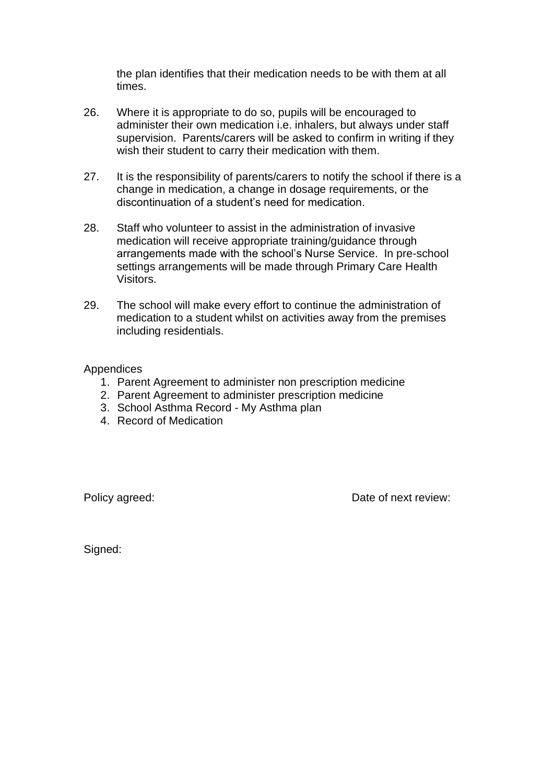the plan identifies that their medication needs to be with them at all times.

- 26. Where it is appropriate to do so, pupils will be encouraged to administer their own medication i.e. inhalers, but always under staff supervision. Parents/carers will be asked to confirm in writing if they wish their student to carry their medication with them.
- 27. It is the responsibility of parents/carers to notify the school if there is a change in medication, a change in dosage requirements, or the discontinuation of a student's need for medication.
- 28. Staff who volunteer to assist in the administration of invasive medication will receive appropriate training/guidance through arrangements made with the school's Nurse Service. In pre-school settings arrangements will be made through Primary Care Health Visitors.
- 29. The school will make every effort to continue the administration of medication to a student whilst on activities away from the premises including residentials.

#### **Appendices**

- 1. Parent Agreement to administer non prescription medicine
- 2. Parent Agreement to administer prescription medicine
- 3. School Asthma Record My Asthma plan
- 4. Record of Medication

Policy agreed:  $\blacksquare$  Date of next review:

Signed: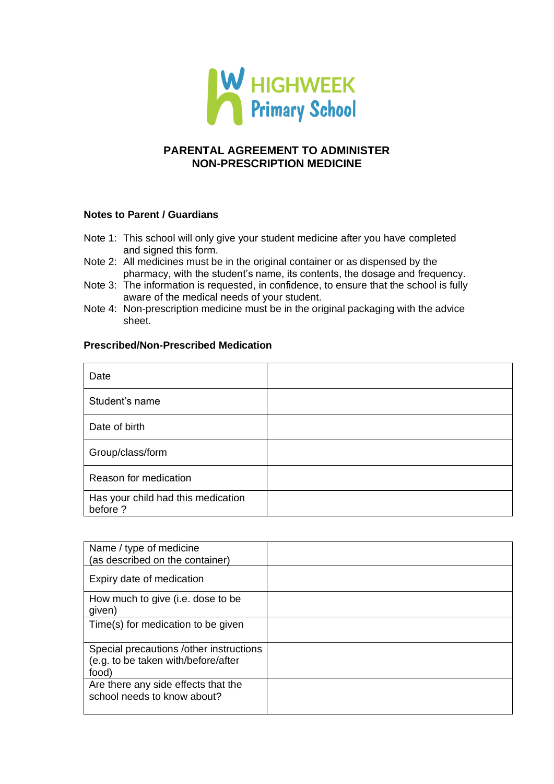

## **PARENTAL AGREEMENT TO ADMINISTER NON-PRESCRIPTION MEDICINE**

#### **Notes to Parent / Guardians**

- Note 1: This school will only give your student medicine after you have completed and signed this form.
- Note 2: All medicines must be in the original container or as dispensed by the pharmacy, with the student's name, its contents, the dosage and frequency.
- Note 3: The information is requested, in confidence, to ensure that the school is fully aware of the medical needs of your student.
- Note 4: Non-prescription medicine must be in the original packaging with the advice sheet.

#### **Prescribed/Non-Prescribed Medication**

| Date                                           |  |
|------------------------------------------------|--|
| Student's name                                 |  |
| Date of birth                                  |  |
| Group/class/form                               |  |
| Reason for medication                          |  |
| Has your child had this medication<br>before ? |  |

| Name / type of medicine<br>(as described on the container)                              |  |
|-----------------------------------------------------------------------------------------|--|
| Expiry date of medication                                                               |  |
| How much to give (i.e. dose to be<br>given)                                             |  |
| Time(s) for medication to be given                                                      |  |
| Special precautions /other instructions<br>(e.g. to be taken with/before/after<br>food) |  |
| Are there any side effects that the<br>school needs to know about?                      |  |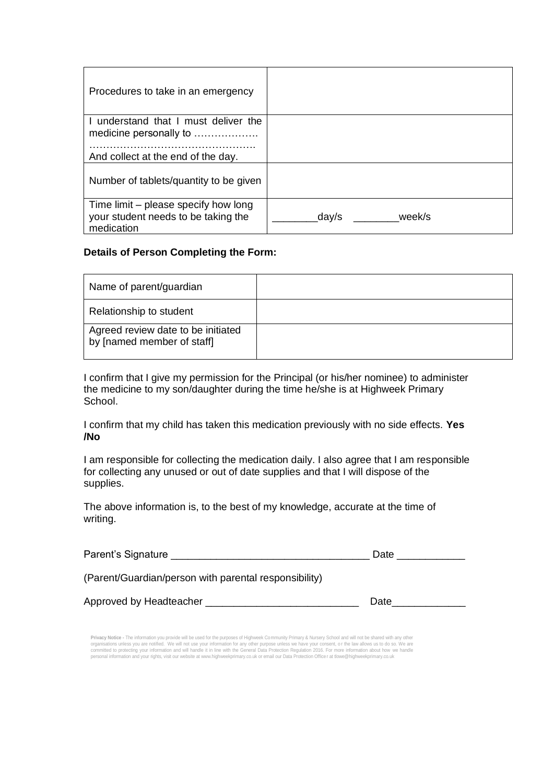| Procedures to take in an emergency                                                                   |                 |
|------------------------------------------------------------------------------------------------------|-----------------|
| I understand that I must deliver the<br>medicine personally to<br>And collect at the end of the day. |                 |
| Number of tablets/quantity to be given                                                               |                 |
| Time limit – please specify how long<br>your student needs to be taking the<br>medication            | week/s<br>day/s |

#### **Details of Person Completing the Form:**

| Name of parent/guardian                                          |  |
|------------------------------------------------------------------|--|
| Relationship to student                                          |  |
| Agreed review date to be initiated<br>by [named member of staff] |  |

I confirm that I give my permission for the Principal (or his/her nominee) to administer the medicine to my son/daughter during the time he/she is at Highweek Primary School.

I confirm that my child has taken this medication previously with no side effects. **Yes /No**

I am responsible for collecting the medication daily. I also agree that I am responsible for collecting any unused or out of date supplies and that I will dispose of the supplies.

The above information is, to the best of my knowledge, accurate at the time of writing.

| Parent's Signature                                    | Date |
|-------------------------------------------------------|------|
| (Parent/Guardian/person with parental responsibility) |      |

Approved by Headteacher \_\_\_\_\_\_\_\_\_\_\_\_\_\_\_\_\_\_\_\_\_\_\_\_\_\_\_ Date\_\_\_\_\_\_\_\_\_\_\_\_\_

**Privacy Notice -** The information you provide will be used for the purposes of Highweek Community Primary & Nursery School and will not be shared with any other organisations unless you are notified. We will not use your information for any other purpose unless we have your consent, or the law allows us to do so. We are<br>committed to protecting your information and will handle it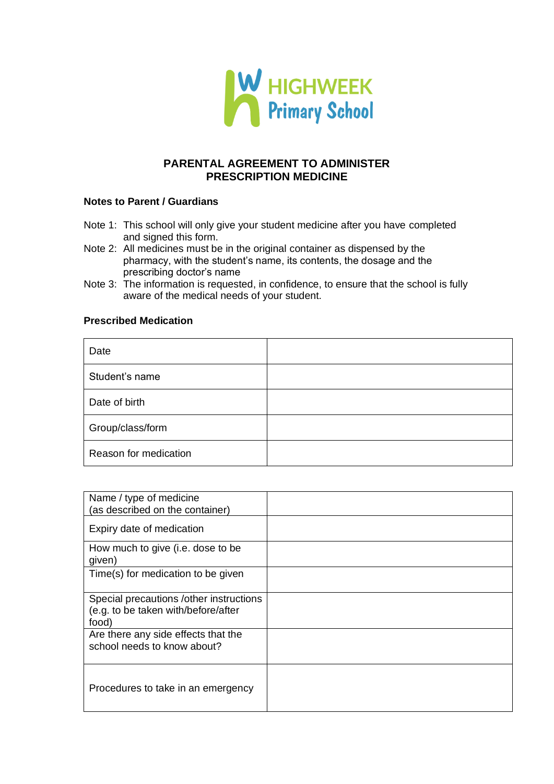

### **PARENTAL AGREEMENT TO ADMINISTER PRESCRIPTION MEDICINE**

#### **Notes to Parent / Guardians**

- Note 1: This school will only give your student medicine after you have completed and signed this form.
- Note 2: All medicines must be in the original container as dispensed by the pharmacy, with the student's name, its contents, the dosage and the prescribing doctor's name
- Note 3: The information is requested, in confidence, to ensure that the school is fully aware of the medical needs of your student.

#### **Prescribed Medication**

| Date                  |  |
|-----------------------|--|
| Student's name        |  |
| Date of birth         |  |
| Group/class/form      |  |
| Reason for medication |  |

| Name / type of medicine<br>(as described on the container)<br>Expiry date of medication<br>How much to give (i.e. dose to be<br>given)<br>Time(s) for medication to be given<br>Special precautions /other instructions<br>(e.g. to be taken with/before/after<br>food)<br>Are there any side effects that the<br>school needs to know about?<br>Procedures to take in an emergency |  |
|-------------------------------------------------------------------------------------------------------------------------------------------------------------------------------------------------------------------------------------------------------------------------------------------------------------------------------------------------------------------------------------|--|
|                                                                                                                                                                                                                                                                                                                                                                                     |  |
|                                                                                                                                                                                                                                                                                                                                                                                     |  |
|                                                                                                                                                                                                                                                                                                                                                                                     |  |
|                                                                                                                                                                                                                                                                                                                                                                                     |  |
|                                                                                                                                                                                                                                                                                                                                                                                     |  |
|                                                                                                                                                                                                                                                                                                                                                                                     |  |
|                                                                                                                                                                                                                                                                                                                                                                                     |  |
|                                                                                                                                                                                                                                                                                                                                                                                     |  |
|                                                                                                                                                                                                                                                                                                                                                                                     |  |
|                                                                                                                                                                                                                                                                                                                                                                                     |  |
|                                                                                                                                                                                                                                                                                                                                                                                     |  |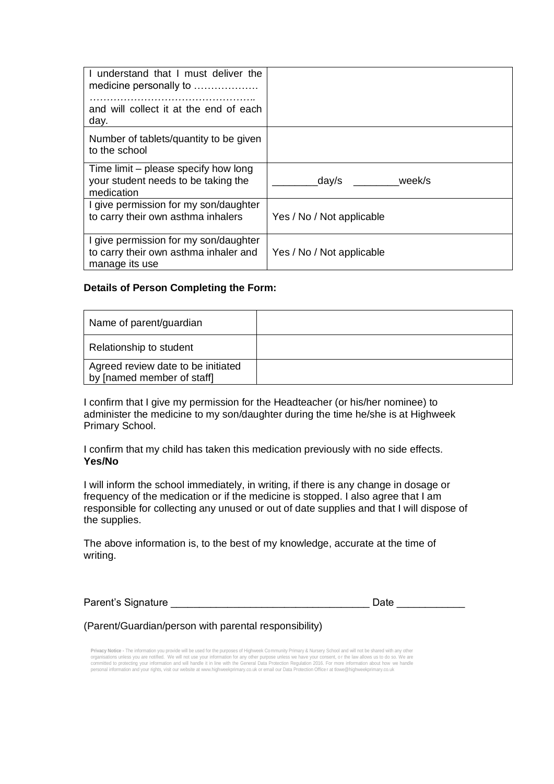| I understand that I must deliver the<br>medicine personally to<br>and will collect it at the end of each<br>day. |                           |
|------------------------------------------------------------------------------------------------------------------|---------------------------|
| Number of tablets/quantity to be given<br>to the school                                                          |                           |
| Time limit – please specify how long<br>your student needs to be taking the<br>medication                        | week/s<br>day/s           |
| I give permission for my son/daughter<br>to carry their own asthma inhalers                                      | Yes / No / Not applicable |
| I give permission for my son/daughter<br>to carry their own asthma inhaler and<br>manage its use                 | Yes / No / Not applicable |

#### **Details of Person Completing the Form:**

| Name of parent/guardian                                          |  |
|------------------------------------------------------------------|--|
| Relationship to student                                          |  |
| Agreed review date to be initiated<br>by [named member of staff] |  |

I confirm that I give my permission for the Headteacher (or his/her nominee) to administer the medicine to my son/daughter during the time he/she is at Highweek Primary School.

I confirm that my child has taken this medication previously with no side effects. **Yes/No**

I will inform the school immediately, in writing, if there is any change in dosage or frequency of the medication or if the medicine is stopped. I also agree that I am responsible for collecting any unused or out of date supplies and that I will dispose of the supplies.

The above information is, to the best of my knowledge, accurate at the time of writing.

Parent's Signature **Example 20** and the contract of the Date Date

(Parent/Guardian/person with parental responsibility)

**Privacy Notice -** The information you provide will be used for the purposes of Highweek Community Primary & Nursery School and will not be shared with any other organisations unless you are notified. We will not use your information for any other purpose unless we have your consent, or the law allows us to do so. We are<br>committed to protecting your information and will handle it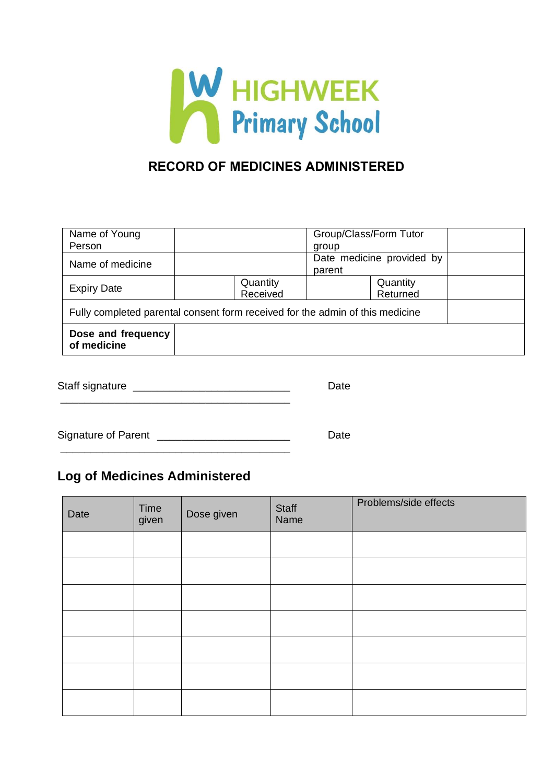

## **RECORD OF MEDICINES ADMINISTERED**

| Dose and frequency<br>of medicine                                             |                      |                                     |  |  |
|-------------------------------------------------------------------------------|----------------------|-------------------------------------|--|--|
| Fully completed parental consent form received for the admin of this medicine |                      |                                     |  |  |
| <b>Expiry Date</b>                                                            | Quantity<br>Received | Quantity<br>Returned                |  |  |
| Name of medicine                                                              |                      | Date medicine provided by<br>parent |  |  |
| Name of Young<br>Person                                                       |                      | Group/Class/Form Tutor<br>group     |  |  |

| Staff signature |  |  |
|-----------------|--|--|
|-----------------|--|--|

\_\_\_\_\_\_\_\_\_\_\_\_\_\_\_\_\_\_\_\_\_\_\_\_\_\_\_\_\_\_\_\_\_\_\_\_\_\_

Signature of Parent \_\_\_\_\_\_\_\_\_\_\_\_\_\_\_\_\_\_\_\_\_\_\_\_\_\_\_\_\_\_\_\_\_\_ Date

# **Log of Medicines Administered**

| Date | Time<br>given | Dose given | Staff<br>Name | Problems/side effects |
|------|---------------|------------|---------------|-----------------------|
|      |               |            |               |                       |
|      |               |            |               |                       |
|      |               |            |               |                       |
|      |               |            |               |                       |
|      |               |            |               |                       |
|      |               |            |               |                       |
|      |               |            |               |                       |